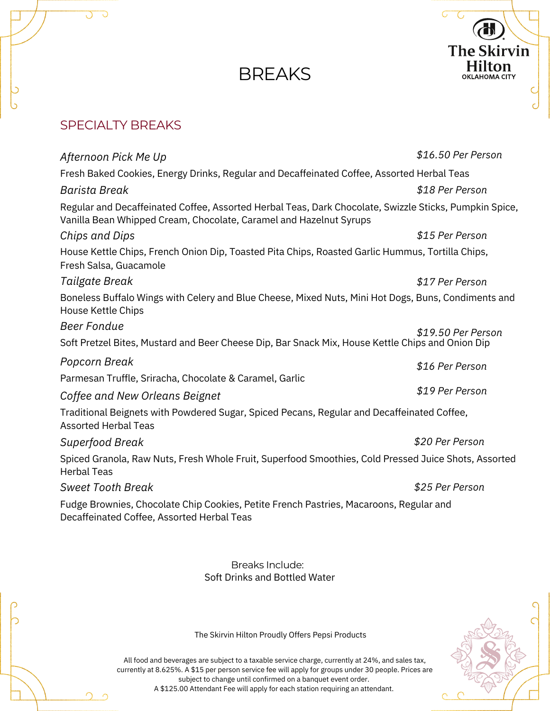# **BREAKS**



### SPECIALTY BREAKS

 $\circ$ 

Õ ს

| Afternoon Pick Me Up                                                                                                                                                         | \$16.50 Per Person |  |
|------------------------------------------------------------------------------------------------------------------------------------------------------------------------------|--------------------|--|
| Fresh Baked Cookies, Energy Drinks, Regular and Decaffeinated Coffee, Assorted Herbal Teas                                                                                   |                    |  |
| Barista Break                                                                                                                                                                | \$18 Per Person    |  |
| Regular and Decaffeinated Coffee, Assorted Herbal Teas, Dark Chocolate, Swizzle Sticks, Pumpkin Spice,<br>Vanilla Bean Whipped Cream, Chocolate, Caramel and Hazelnut Syrups |                    |  |
| <b>Chips and Dips</b>                                                                                                                                                        | \$15 Per Person    |  |
| House Kettle Chips, French Onion Dip, Toasted Pita Chips, Roasted Garlic Hummus, Tortilla Chips,<br>Fresh Salsa, Guacamole                                                   |                    |  |
| Tailgate Break                                                                                                                                                               | \$17 Per Person    |  |
| Boneless Buffalo Wings with Celery and Blue Cheese, Mixed Nuts, Mini Hot Dogs, Buns, Condiments and<br>House Kettle Chips                                                    |                    |  |
| <b>Beer Fondue</b>                                                                                                                                                           | \$19.50 Per Person |  |
| Soft Pretzel Bites, Mustard and Beer Cheese Dip, Bar Snack Mix, House Kettle Chips and Onion Dip                                                                             |                    |  |
| Popcorn Break                                                                                                                                                                | \$16 Per Person    |  |
| Parmesan Truffle, Sriracha, Chocolate & Caramel, Garlic                                                                                                                      |                    |  |
| Coffee and New Orleans Beignet                                                                                                                                               | \$19 Per Person    |  |
| Traditional Beignets with Powdered Sugar, Spiced Pecans, Regular and Decaffeinated Coffee,<br><b>Assorted Herbal Teas</b>                                                    |                    |  |
| Superfood Break                                                                                                                                                              | \$20 Per Person    |  |
| Spiced Granola, Raw Nuts, Fresh Whole Fruit, Superfood Smoothies, Cold Pressed Juice Shots, Assorted<br><b>Herbal Teas</b>                                                   |                    |  |
| <b>Sweet Tooth Break</b>                                                                                                                                                     | \$25 Per Person    |  |
| Fudge Brownies, Chocolate Chip Cookies, Petite French Pastries, Macaroons, Regular and<br>Decaffeinated Coffee, Assorted Herbal Teas                                         |                    |  |
|                                                                                                                                                                              |                    |  |
|                                                                                                                                                                              |                    |  |

Soft Drinks and Bottled Water Breaks Include:



The Skirvin Hilton Proudly Offers Pepsi Products

All food and beverages are subject to a taxable service charge, currently at 24%, and sales tax, currently at 8.625%. A \$15 per person service fee will apply for groups under 30 people. Prices are subject to change until confirmed on a banquet event order. A \$125.00 Attendant Fee will apply for each station requiring an attendant.